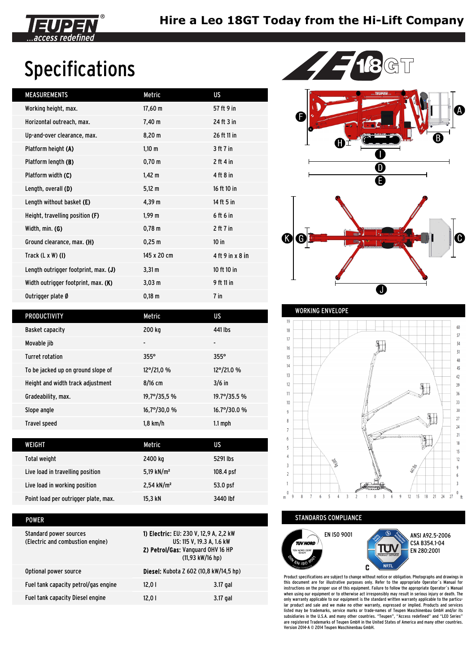

## Specifications

| <b>MEASUREMENTS</b>                  | Metric             | US               |
|--------------------------------------|--------------------|------------------|
| Working height, max.                 | $17,60 \text{ m}$  | 57 ft 9 in       |
| Horizontal outreach, max.            | $7,40 \; m$        | 24 ft 3 in       |
| Up-and-over clearance, max.          | 8,20 m             | 26 ft 11 in      |
| Platform height (A)                  | $1,10 \; m$        | 3 ft 7 in        |
| Platform length (B)                  | $0,70 \; m$        | $2$ ft 4 in      |
| Platform width (C)                   | $1,42 \; m$        | 4 ft 8 in        |
| Length, overall (D)                  | $5,12 \; m$        | 16 ft 10 in      |
| Length without basket (E)            | 4,39 m             | 14 ft 5 in       |
| Height, travelling position (F)      | 1,99 m             | 6 ft 6 in        |
| Width, min. (G)                      | $0,78 \; \text{m}$ | $2$ ft $7$ in    |
| Ground clearance, max. (H)           | 0,25 m             | $10$ in          |
| Track $(L \times W)$ (I)             | 145 x 20 cm        | 4 ft 9 in x 8 in |
| Length outrigger footprint, max. (J) | $3,31 \, \text{m}$ | 10 ft 10 in      |
| Width outrigger footprint, max. (K)  | 3,03 m             | 9 ft 11 in       |
| Outrigger plate Ø                    | $0,18 \; m$        | 7 in             |
|                                      |                    |                  |



| <b>PRODUCTIVITY</b>                | Metric               | US                   |
|------------------------------------|----------------------|----------------------|
| <b>Basket capacity</b>             | 200 kg               | 441 lbs              |
| Movable jib                        | ٠                    |                      |
| <b>Turret rotation</b>             | $355^\circ$          | $355^\circ$          |
| To be jacked up on ground slope of | 12°/21.0 %           | 12°/21.0 %           |
| Height and width track adjustment  | $8/16$ cm            | $3/6$ in             |
| Gradeability, max.                 | 19,7°/35,5 %         | 19.7°/35.5 %         |
| Slope angle                        | $16,7^{\circ}/30,0%$ | $16.7^{\circ}/30.0%$ |
| <b>Travel speed</b>                | $1,8$ km/h           | $1.1 \text{ mph}$    |

| WEIGHT                               | Metric                   | US        |
|--------------------------------------|--------------------------|-----------|
| Total weight                         | 2400 kg                  | 5291 lbs  |
| Live load in travelling position     | 5,19 kN/m <sup>2</sup>   | 108.4 psf |
| Live load in working position        | $2,54$ kN/m <sup>2</sup> | 53.0 psf  |
| Point load per outrigger plate, max. | 15.3 kN                  | 3440 lbf  |

| POWER                                                      |                                                                                                                                                |          |
|------------------------------------------------------------|------------------------------------------------------------------------------------------------------------------------------------------------|----------|
| Standard power sources<br>(Electric and combustion engine) | 1) Electric: EU: 230 V, 12,9 A, 2,2 kW<br>US: 115 V, 19.3 A, 1.6 kW<br>2) Petrol/Gas: Vanguard OHV 16 HP<br>$(11,93 \text{ kW}/16 \text{ hp})$ |          |
| Optional power source                                      | Diesel: Kubota Z 602 (10,8 kW/14,5 hp)                                                                                                         |          |
| Fuel tank capacity petrol/gas engine                       | 12.0 $\mid$                                                                                                                                    | 3.17 gal |
| Fuel tank capacity Diesel engine                           | 12.0 $\mid$                                                                                                                                    | 3.17 gal |



STANDARDS COMPLIANCE



Product specifications are subject to change without notice or obligation. Photographs and drawings in this document are for illustrative purposes only. Refer to the appropriate Operator´s Manual for instructions on the proper use of this equipment. Failure to follow the appropriate Operator´s Manual when using our equipment or to otherwise act irresponsibly may result in serious injury or death. The only warranty applicable to our equipment is the standard written warranty applicable to the particular product and sale and we make no other warranty, expressed or implied. Products and services<br>listed may be trademarks, service marks or trade-names of Teupen Maschinenbau GmbH and/or its<br>subsidiaries in the U.S.A. and m are registered Trademarks of Teupen GmbH in the United States of America and many other countries. Version 2014-A © 2014 Teupen Maschinenbau GmbH.